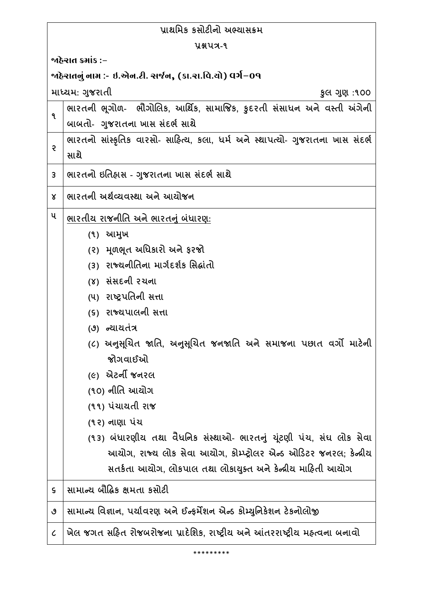| પ્રાથમિક કસોટીનો અભ્યાસક્રમ                               |                                                                                |  |
|-----------------------------------------------------------|--------------------------------------------------------------------------------|--|
| <b>Y&amp;UA-9</b>                                         |                                                                                |  |
| જાહેરાત ક્રમાંક :−                                        |                                                                                |  |
| ર્જાહેરાતનું નામ :- ઇ.એન.ટી. સર્જન, (કા.રા.વિ.યો) વર્ગ−09 |                                                                                |  |
| માધ્યમ: ગુજરાતી<br>કુલ ગુણ :૧૦૦                           |                                                                                |  |
| ٩                                                         | ભારતની ભૂગોળ- ભૌગોલિક, આર્થિક, સામાજિક, કુદરતી સંસાધન અને વસ્તી અંગેની         |  |
|                                                           | બાબતો- ગુજરાતના ખાસ સંદર્ભ સાથે                                                |  |
| Ş                                                         | ભારતનો સાંસ્કૃતિક વારસો- સાહિત્ય, કલા, ધર્મ અને સ્થાપત્યો- ગુજરાતના ખાસ સંદર્ભ |  |
|                                                           | સાથે                                                                           |  |
| 3                                                         | ભારતનો ઇતિહ્રાસ - ગુજરાતના ખાસ સંદર્ભ સાથે                                     |  |
| Χ                                                         | ભારતની અર્થવ્યવસ્થા અને આયોજન                                                  |  |
| ૫                                                         | ભારતીય રાજનીતિ અને ભારતનું બંધારણ:                                             |  |
|                                                           | (૧) આમુખ                                                                       |  |
|                                                           | (૨) મૂળભૂત અધિકારો અને ફરજો                                                    |  |
|                                                           | (3) રાજ્યનીતિના માર્ગદર્શક સિદ્ધાંતો                                           |  |
|                                                           | (४) સંસદની રચના                                                                |  |
|                                                           | (૫) રાષ્ટ્રપતિની સત્તા                                                         |  |
|                                                           | (૬) રાજ્યપાલની સત્તા                                                           |  |
|                                                           | (૭) ન્યાયતંત્ર                                                                 |  |
|                                                           | (૮) અનુસૂચિત જાતિ, અનુસૂચિત જનજાતિ અને સમાજના પછાત વર્ગો માટેની                |  |
|                                                           | જોગવાઈઓ                                                                        |  |
|                                                           | <i>(૯)</i> એટર્ની જનરલ                                                         |  |
|                                                           | (૧૦) નીતિ આયોગ                                                                 |  |
|                                                           | (૧૧) પંચાયતી રાજ                                                               |  |
|                                                           | (૧૨) નાણા પંચ                                                                  |  |
|                                                           | (૧૩) બંધારણીય તથા વૈધનિક સંસ્થાઓ- ભારતનું યૂંટણી પંચ, સંઘ લોક સેવા             |  |
|                                                           | આયોગ, રાજ્ય લોક સેવા આયોગ, કોમ્પ્ટ્રોલર એન્ડ ઓડિટર જનરલ; કેન્દ્રીય             |  |
|                                                           | સતર્કતા આયોગ, લોકપાલ તથા લોકાયુક્ત અને કેન્દ્રીય માહિતી આયોગ                   |  |
| $\mathsf S$                                               | સામાન્ય બૌદ્ધિક ક્ષમતા કસોટી                                                   |  |
| ٯ                                                         | સામાન્ય વિજ્ઞાન, પર્યાવરણ અને ઈન્ફર્મેશન એન્ડ કોમ્યુનિકેશન ટેકનોલોજી           |  |
| $\mathcal C$                                              | ખેલ જગત સહિત રોજબરોજના પ્રાદેશિક, રાષ્ટ્રીય અને આંતરરાષ્ટ્રીય મહ્ત્વના બનાવો   |  |

\*\*\*\*\*\*\*\*\*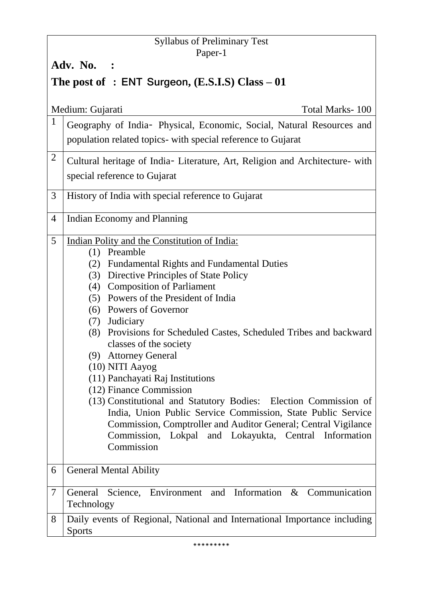## Syllabus of Preliminary Test Paper-1

**Adv. No. :** 

# **The post of : ENT Surgeon, (E.S.I.S) Class – 01**

|                | Medium: Gujarati<br><b>Total Marks-100</b>                                                                                       |  |
|----------------|----------------------------------------------------------------------------------------------------------------------------------|--|
| $\mathbf{1}$   | Geography of India- Physical, Economic, Social, Natural Resources and                                                            |  |
|                | population related topics- with special reference to Gujarat                                                                     |  |
| $\overline{2}$ | Cultural heritage of India- Literature, Art, Religion and Architecture- with                                                     |  |
|                | special reference to Gujarat                                                                                                     |  |
| 3              | History of India with special reference to Gujarat                                                                               |  |
| 4              | Indian Economy and Planning                                                                                                      |  |
| 5              | Indian Polity and the Constitution of India:                                                                                     |  |
|                | Preamble<br>(1)                                                                                                                  |  |
|                | (2) Fundamental Rights and Fundamental Duties                                                                                    |  |
|                | (3) Directive Principles of State Policy                                                                                         |  |
|                | (4) Composition of Parliament<br>(5) Powers of the President of India                                                            |  |
|                | (6) Powers of Governor                                                                                                           |  |
|                | (7) Judiciary                                                                                                                    |  |
|                | (8) Provisions for Scheduled Castes, Scheduled Tribes and backward                                                               |  |
|                | classes of the society                                                                                                           |  |
|                | (9) Attorney General                                                                                                             |  |
|                | (10) NITI Aayog                                                                                                                  |  |
|                | (11) Panchayati Raj Institutions                                                                                                 |  |
|                | (12) Finance Commission                                                                                                          |  |
|                | (13) Constitutional and Statutory Bodies: Election Commission of<br>India, Union Public Service Commission, State Public Service |  |
|                | Commission, Comptroller and Auditor General; Central Vigilance                                                                   |  |
|                | Commission, Lokpal and Lokayukta, Central Information                                                                            |  |
|                | Commission                                                                                                                       |  |
|                |                                                                                                                                  |  |
| 6              | <b>General Mental Ability</b>                                                                                                    |  |
| 7              | Science, Environment and Information $\&$<br>General<br>Communication<br>Technology                                              |  |
| 8              | Daily events of Regional, National and International Importance including<br><b>Sports</b>                                       |  |

\*\*\*\*\*\*\*\*\*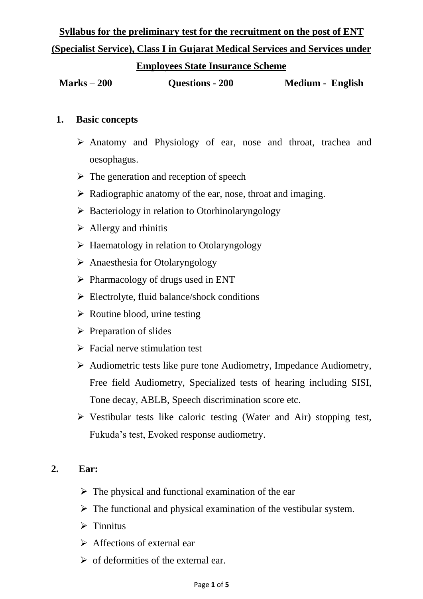# **Syllabus for the preliminary test for the recruitment on the post of ENT (Specialist Service), Class I in Gujarat Medical Services and Services under**

#### **Employees State Insurance Scheme**

**Marks – 200 Questions - 200 Medium - English**

#### **1. Basic concepts**

- Anatomy and Physiology of ear, nose and throat, trachea and oesophagus.
- $\triangleright$  The generation and reception of speech
- $\triangleright$  Radiographic anatomy of the ear, nose, throat and imaging.
- $\triangleright$  Bacteriology in relation to Otorhinolaryngology
- $\triangleright$  Allergy and rhinitis
- $\triangleright$  Haematology in relation to Otolaryngology
- $\triangleright$  Anaesthesia for Otolaryngology
- $\triangleright$  Pharmacology of drugs used in ENT
- $\triangleright$  Electrolyte, fluid balance/shock conditions
- $\triangleright$  Routine blood, urine testing
- $\triangleright$  Preparation of slides
- $\triangleright$  Facial nerve stimulation test
- $\triangleright$  Audiometric tests like pure tone Audiometry, Impedance Audiometry, Free field Audiometry, Specialized tests of hearing including SISI, Tone decay, ABLB, Speech discrimination score etc.
- $\triangleright$  Vestibular tests like caloric testing (Water and Air) stopping test, Fukuda's test, Evoked response audiometry.

### **2. Ear:**

- $\triangleright$  The physical and functional examination of the ear
- $\triangleright$  The functional and physical examination of the vestibular system.
- $\triangleright$  Tinnitus
- $\triangleright$  Affections of external ear
- $\triangleright$  of deformities of the external ear.

#### Page **1** of **5**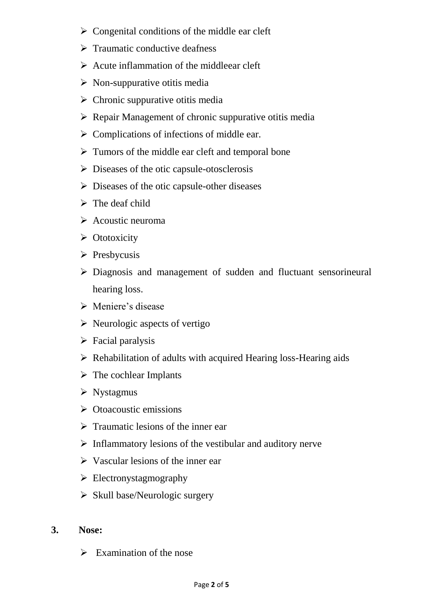- $\triangleright$  Congenital conditions of the middle ear cleft
- $\triangleright$  Traumatic conductive deafness
- $\triangleright$  Acute inflammation of the middleear cleft
- $\triangleright$  Non-suppurative otitis media
- $\triangleright$  Chronic suppurative otitis media
- $\triangleright$  Repair Management of chronic suppurative otitis media
- $\triangleright$  Complications of infections of middle ear.
- $\triangleright$  Tumors of the middle ear cleft and temporal bone
- $\triangleright$  Diseases of the otic capsule-otosclerosis
- $\triangleright$  Diseases of the otic capsule-other diseases
- $\triangleright$  The deaf child
- $\triangleright$  Acoustic neuroma
- $\triangleright$  Ototoxicity
- $\triangleright$  Presbycusis
- Diagnosis and management of sudden and fluctuant sensorineural hearing loss.
- Meniere's disease
- $\triangleright$  Neurologic aspects of vertigo
- $\triangleright$  Facial paralysis
- $\triangleright$  Rehabilitation of adults with acquired Hearing loss-Hearing aids
- $\triangleright$  The cochlear Implants
- $\triangleright$  Nystagmus
- $\triangleright$  Otoacoustic emissions
- $\triangleright$  Traumatic lesions of the inner ear
- $\triangleright$  Inflammatory lesions of the vestibular and auditory nerve
- $\triangleright$  Vascular lesions of the inner ear
- $\triangleright$  Electronystagmography
- $\triangleright$  Skull base/Neurologic surgery

#### **3. Nose:**

 $\triangleright$  Examination of the nose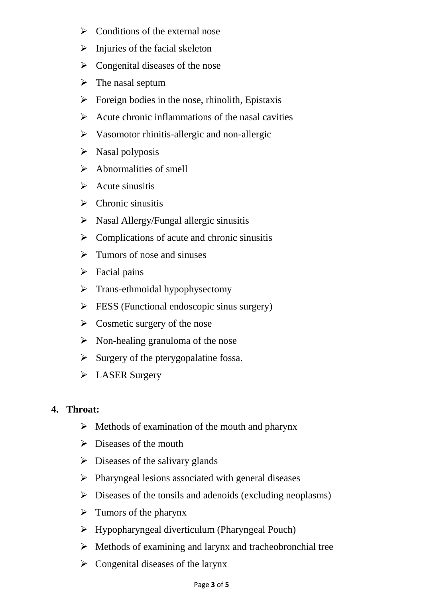- $\triangleright$  Conditions of the external nose
- $\triangleright$  Injuries of the facial skeleton
- $\triangleright$  Congenital diseases of the nose
- $\triangleright$  The nasal septum
- $\triangleright$  Foreign bodies in the nose, rhinolith, Epistaxis
- $\triangleright$  Acute chronic inflammations of the nasal cavities
- $\triangleright$  Vasomotor rhinitis-allergic and non-allergic
- $\triangleright$  Nasal polyposis
- $\triangleright$  Abnormalities of smell
- $\triangleright$  Acute sinusitis
- $\triangleright$  Chronic sinusitis
- $\triangleright$  Nasal Allergy/Fungal allergic sinusitis
- $\triangleright$  Complications of acute and chronic sinusitis
- $\triangleright$  Tumors of nose and sinuses
- $\triangleright$  Facial pains
- $\triangleright$  Trans-ethmoidal hypophysectomy
- $\triangleright$  FESS (Functional endoscopic sinus surgery)
- $\triangleright$  Cosmetic surgery of the nose
- $\triangleright$  Non-healing granuloma of the nose
- $\triangleright$  Surgery of the pterygopalatine fossa.
- > LASER Surgery

### **4. Throat:**

- $\triangleright$  Methods of examination of the mouth and pharynx
- $\triangleright$  Diseases of the mouth
- $\triangleright$  Diseases of the salivary glands
- $\triangleright$  Pharyngeal lesions associated with general diseases
- $\triangleright$  Diseases of the tonsils and adenoids (excluding neoplasms)
- $\triangleright$  Tumors of the pharynx
- Hypopharyngeal diverticulum (Pharyngeal Pouch)
- $\triangleright$  Methods of examining and larynx and tracheobronchial tree
- $\triangleright$  Congenital diseases of the larynx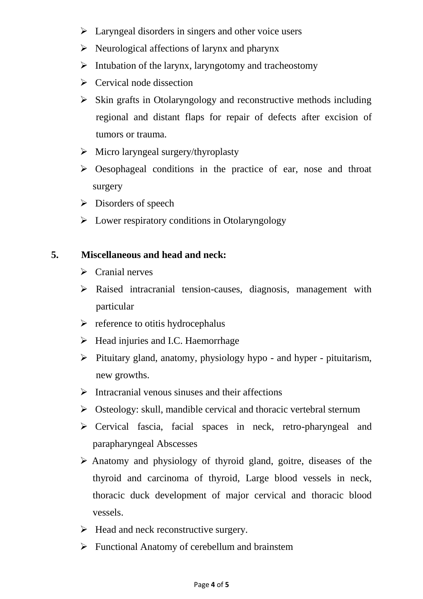- $\triangleright$  Laryngeal disorders in singers and other voice users
- $\triangleright$  Neurological affections of larynx and pharynx
- $\triangleright$  Intubation of the larynx, laryngotomy and tracheostomy
- $\triangleright$  Cervical node dissection
- $\triangleright$  Skin grafts in Otolaryngology and reconstructive methods including regional and distant flaps for repair of defects after excision of tumors or trauma.
- $\triangleright$  Micro laryngeal surgery/thyroplasty
- $\triangleright$  Oesophageal conditions in the practice of ear, nose and throat surgery
- $\triangleright$  Disorders of speech
- $\triangleright$  Lower respiratory conditions in Otolaryngology

#### **5. Miscellaneous and head and neck:**

- $\triangleright$  Cranial nerves
- Raised intracranial tension-causes, diagnosis, management with particular
- $\triangleright$  reference to otitis hydrocephalus
- $\triangleright$  Head injuries and I.C. Haemorrhage
- $\triangleright$  Pituitary gland, anatomy, physiology hypo and hyper pituitarism, new growths.
- $\triangleright$  Intracranial venous sinuses and their affections
- $\triangleright$  Osteology: skull, mandible cervical and thoracic vertebral sternum
- Cervical fascia, facial spaces in neck, retro-pharyngeal and parapharyngeal Abscesses
- Anatomy and physiology of thyroid gland, goitre, diseases of the thyroid and carcinoma of thyroid, Large blood vessels in neck, thoracic duck development of major cervical and thoracic blood vessels.
- $\triangleright$  Head and neck reconstructive surgery.
- $\triangleright$  Functional Anatomy of cerebellum and brainstem